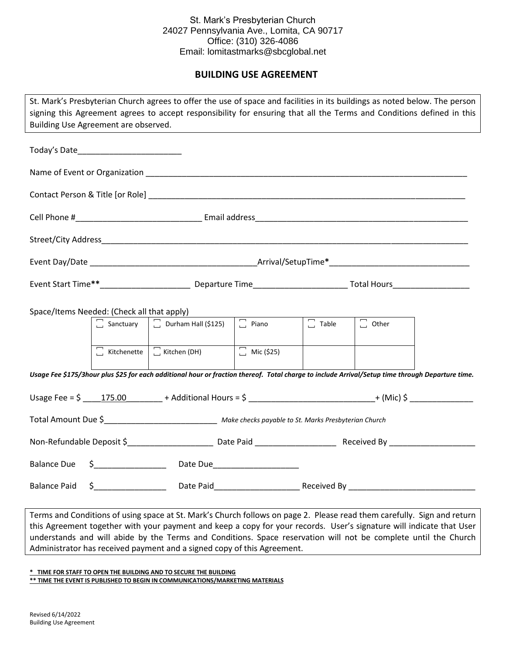## St. Mark's Presbyterian Church 24027 Pennsylvania Ave., Lomita, CA 90717 Office: (310) 326-4086 Email: lomitastmarks@sbcglobal.net

## **BUILDING USE AGREEMENT**

| St. Mark's Presbyterian Church agrees to offer the use of space and facilities in its buildings as noted below. The person                                                      |                                                                                                                                                                                                                                       |  |              |  |  |
|---------------------------------------------------------------------------------------------------------------------------------------------------------------------------------|---------------------------------------------------------------------------------------------------------------------------------------------------------------------------------------------------------------------------------------|--|--------------|--|--|
| signing this Agreement agrees to accept responsibility for ensuring that all the Terms and Conditions defined in this                                                           |                                                                                                                                                                                                                                       |  |              |  |  |
| Building Use Agreement are observed.                                                                                                                                            |                                                                                                                                                                                                                                       |  |              |  |  |
|                                                                                                                                                                                 |                                                                                                                                                                                                                                       |  |              |  |  |
|                                                                                                                                                                                 |                                                                                                                                                                                                                                       |  |              |  |  |
|                                                                                                                                                                                 |                                                                                                                                                                                                                                       |  |              |  |  |
|                                                                                                                                                                                 |                                                                                                                                                                                                                                       |  |              |  |  |
|                                                                                                                                                                                 |                                                                                                                                                                                                                                       |  |              |  |  |
|                                                                                                                                                                                 |                                                                                                                                                                                                                                       |  |              |  |  |
|                                                                                                                                                                                 |                                                                                                                                                                                                                                       |  |              |  |  |
| Space/Items Needed: (Check all that apply)<br>$\boxed{\phantom{a}}$ Sanctuary $\boxed{\phantom{a}}$ Durham Hall (\$125) $\boxed{\phantom{a}}$ Piano $\boxed{\phantom{a}}$ Table |                                                                                                                                                                                                                                       |  | $\Box$ Other |  |  |
| $\boxed{\phantom{a}}$ Kitchenette $\phantom{a}$ Kitchen (DH) $\phantom{a}$ Mic (\$25)                                                                                           |                                                                                                                                                                                                                                       |  |              |  |  |
| Usage Fee \$175/3hour plus \$25 for each additional hour or fraction thereof. Total charge to include Arrival/Setup time through Departure time.                                |                                                                                                                                                                                                                                       |  |              |  |  |
|                                                                                                                                                                                 | Usage Fee = $\frac{6}{5}$ 175.00 + Additional Hours = $\frac{6}{5}$ + 000 + 000 + 000 + 000 + 000 + 000 + 000 + 000 + 000 + 000 + 000 + 000 + 000 + 000 + 000 + 000 + 000 + 000 + 000 + 000 + 000 + 000 + 000 + 000 + 000 + 000 + 000 |  |              |  |  |
|                                                                                                                                                                                 |                                                                                                                                                                                                                                       |  |              |  |  |
|                                                                                                                                                                                 |                                                                                                                                                                                                                                       |  |              |  |  |
|                                                                                                                                                                                 |                                                                                                                                                                                                                                       |  |              |  |  |
| <b>Balance Paid</b>                                                                                                                                                             |                                                                                                                                                                                                                                       |  |              |  |  |
|                                                                                                                                                                                 |                                                                                                                                                                                                                                       |  |              |  |  |

Terms and Conditions of using space at St. Mark's Church follows on page 2. Please read them carefully. Sign and return this Agreement together with your payment and keep a copy for your records. User's signature will indicate that User understands and will abide by the Terms and Conditions. Space reservation will not be complete until the Church Administrator has received payment and a signed copy of this Agreement.

**\* TIME FOR STAFF TO OPEN THE BUILDING AND TO SECURE THE BUILDING \*\* TIME THE EVENT IS PUBLISHED TO BEGIN IN COMMUNICATIONS/MARKETING MATERIALS**